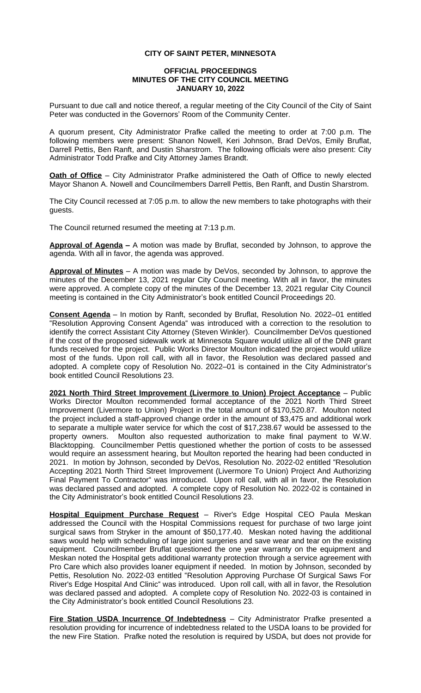## **CITY OF SAINT PETER, MINNESOTA**

## **OFFICIAL PROCEEDINGS MINUTES OF THE CITY COUNCIL MEETING JANUARY 10, 2022**

Pursuant to due call and notice thereof, a regular meeting of the City Council of the City of Saint Peter was conducted in the Governors' Room of the Community Center.

A quorum present, City Administrator Prafke called the meeting to order at 7:00 p.m. The following members were present: Shanon Nowell, Keri Johnson, Brad DeVos, Emily Bruflat, Darrell Pettis, Ben Ranft, and Dustin Sharstrom. The following officials were also present: City Administrator Todd Prafke and City Attorney James Brandt.

**Oath of Office** – City Administrator Prafke administered the Oath of Office to newly elected Mayor Shanon A. Nowell and Councilmembers Darrell Pettis, Ben Ranft, and Dustin Sharstrom.

The City Council recessed at 7:05 p.m. to allow the new members to take photographs with their guests.

The Council returned resumed the meeting at 7:13 p.m.

**Approval of Agenda –** A motion was made by Bruflat, seconded by Johnson, to approve the agenda. With all in favor, the agenda was approved.

**Approval of Minutes** – A motion was made by DeVos, seconded by Johnson, to approve the minutes of the December 13, 2021 regular City Council meeting. With all in favor, the minutes were approved. A complete copy of the minutes of the December 13, 2021 regular City Council meeting is contained in the City Administrator's book entitled Council Proceedings 20.

**Consent Agenda** – In motion by Ranft, seconded by Bruflat, Resolution No. 2022–01 entitled "Resolution Approving Consent Agenda" was introduced with a correction to the resolution to identify the correct Assistant City Attorney (Steven Winkler). Councilmember DeVos questioned if the cost of the proposed sidewalk work at Minnesota Square would utilize all of the DNR grant funds received for the project. Public Works Director Moulton indicated the project would utilize most of the funds. Upon roll call, with all in favor, the Resolution was declared passed and adopted. A complete copy of Resolution No. 2022–01 is contained in the City Administrator's book entitled Council Resolutions 23.

**2021 North Third Street Improvement (Livermore to Union) Project Acceptance** – Public Works Director Moulton recommended formal acceptance of the 2021 North Third Street Improvement (Livermore to Union) Project in the total amount of \$170,520.87. Moulton noted the project included a staff-approved change order in the amount of \$3,475 and additional work to separate a multiple water service for which the cost of \$17,238.67 would be assessed to the property owners. Moulton also requested authorization to make final payment to W.W. Blacktopping. Councilmember Pettis questioned whether the portion of costs to be assessed would require an assessment hearing, but Moulton reported the hearing had been conducted in 2021. In motion by Johnson, seconded by DeVos, Resolution No. 2022-02 entitled "Resolution Accepting 2021 North Third Street Improvement (Livermore To Union) Project And Authorizing Final Payment To Contractor" was introduced. Upon roll call, with all in favor, the Resolution was declared passed and adopted. A complete copy of Resolution No. 2022-02 is contained in the City Administrator's book entitled Council Resolutions 23.

**Hospital Equipment Purchase Request** – River's Edge Hospital CEO Paula Meskan addressed the Council with the Hospital Commissions request for purchase of two large joint surgical saws from Stryker in the amount of \$50,177.40. Meskan noted having the additional saws would help with scheduling of large joint surgeries and save wear and tear on the existing equipment. Councilmember Bruflat questioned the one year warranty on the equipment and Meskan noted the Hospital gets additional warranty protection through a service agreement with Pro Care which also provides loaner equipment if needed. In motion by Johnson, seconded by Pettis, Resolution No. 2022-03 entitled "Resolution Approving Purchase Of Surgical Saws For River's Edge Hospital And Clinic" was introduced. Upon roll call, with all in favor, the Resolution was declared passed and adopted. A complete copy of Resolution No. 2022-03 is contained in the City Administrator's book entitled Council Resolutions 23.

**Fire Station USDA Incurrence Of Indebtedness** – City Administrator Prafke presented a resolution providing for incurrence of indebtedness related to the USDA loans to be provided for the new Fire Station. Prafke noted the resolution is required by USDA, but does not provide for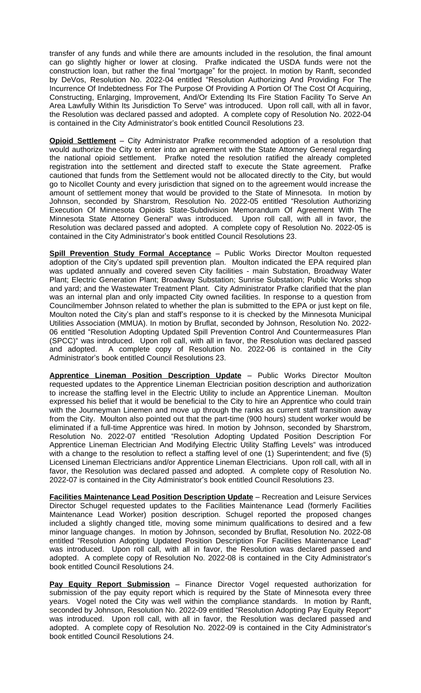transfer of any funds and while there are amounts included in the resolution, the final amount can go slightly higher or lower at closing. Prafke indicated the USDA funds were not the construction loan, but rather the final "mortgage" for the project. In motion by Ranft, seconded by DeVos, Resolution No. 2022-04 entitled "Resolution Authorizing And Providing For The Incurrence Of Indebtedness For The Purpose Of Providing A Portion Of The Cost Of Acquiring, Constructing, Enlarging, Improvement, And/Or Extending Its Fire Station Facility To Serve An Area Lawfully Within Its Jurisdiction To Serve" was introduced. Upon roll call, with all in favor, the Resolution was declared passed and adopted. A complete copy of Resolution No. 2022-04 is contained in the City Administrator's book entitled Council Resolutions 23.

**Opioid Settlement** – City Administrator Prafke recommended adoption of a resolution that would authorize the City to enter into an agreement with the State Attorney General regarding the national opioid settlement. Prafke noted the resolution ratified the already completed registration into the settlement and directed staff to execute the State agreement. Prafke cautioned that funds from the Settlement would not be allocated directly to the City, but would go to Nicollet County and every jurisdiction that signed on to the agreement would increase the amount of settlement money that would be provided to the State of Minnesota. In motion by Johnson, seconded by Sharstrom, Resolution No. 2022-05 entitled "Resolution Authorizing Execution Of Minnesota Opioids State-Subdivision Memorandum Of Agreement With The Minnesota State Attorney General" was introduced. Upon roll call, with all in favor, the Resolution was declared passed and adopted. A complete copy of Resolution No. 2022-05 is contained in the City Administrator's book entitled Council Resolutions 23.

**Spill Prevention Study Formal Acceptance** – Public Works Director Moulton requested adoption of the City's updated spill prevention plan. Moulton indicated the EPA required plan was updated annually and covered seven City facilities - main Substation, Broadway Water Plant; Electric Generation Plant; Broadway Substation; Sunrise Substation; Public Works shop and yard; and the Wastewater Treatment Plant. City Administrator Prafke clarified that the plan was an internal plan and only impacted City owned facilities. In response to a question from Councilmember Johnson related to whether the plan is submitted to the EPA or just kept on file, Moulton noted the City's plan and staff's response to it is checked by the Minnesota Municipal Utilities Association (MMUA). In motion by Bruflat, seconded by Johnson, Resolution No. 2022- 06 entitled "Resolution Adopting Updated Spill Prevention Control And Countermeasures Plan (SPCC)" was introduced. Upon roll call, with all in favor, the Resolution was declared passed and adopted. A complete copy of Resolution No. 2022-06 is contained in the City A complete copy of Resolution No. 2022-06 is contained in the City Administrator's book entitled Council Resolutions 23.

**Apprentice Lineman Position Description Update** – Public Works Director Moulton requested updates to the Apprentice Lineman Electrician position description and authorization to increase the staffing level in the Electric Utility to include an Apprentice Lineman. Moulton expressed his belief that it would be beneficial to the City to hire an Apprentice who could train with the Journeyman Linemen and move up through the ranks as current staff transition away from the City. Moulton also pointed out that the part-time (900 hours) student worker would be eliminated if a full-time Apprentice was hired. In motion by Johnson, seconded by Sharstrom, Resolution No. 2022-07 entitled "Resolution Adopting Updated Position Description For Apprentice Lineman Electrician And Modifying Electric Utility Staffing Levels" was introduced with a change to the resolution to reflect a staffing level of one (1) Superintendent; and five (5) Licensed Lineman Electricians and/or Apprentice Lineman Electricians. Upon roll call, with all in favor, the Resolution was declared passed and adopted. A complete copy of Resolution No. 2022-07 is contained in the City Administrator's book entitled Council Resolutions 23.

**Facilities Maintenance Lead Position Description Update** – Recreation and Leisure Services Director Schugel requested updates to the Facilities Maintenance Lead (formerly Facilities Maintenance Lead Worker) position description. Schugel reported the proposed changes included a slightly changed title, moving some minimum qualifications to desired and a few minor language changes. In motion by Johnson, seconded by Bruflat, Resolution No. 2022-08 entitled "Resolution Adopting Updated Position Description For Facilities Maintenance Lead" was introduced. Upon roll call, with all in favor, the Resolution was declared passed and adopted. A complete copy of Resolution No. 2022-08 is contained in the City Administrator's book entitled Council Resolutions 24.

**Pay Equity Report Submission** – Finance Director Vogel requested authorization for submission of the pay equity report which is required by the State of Minnesota every three years. Vogel noted the City was well within the compliance standards. In motion by Ranft, seconded by Johnson, Resolution No. 2022-09 entitled "Resolution Adopting Pay Equity Report" was introduced. Upon roll call, with all in favor, the Resolution was declared passed and adopted. A complete copy of Resolution No. 2022-09 is contained in the City Administrator's book entitled Council Resolutions 24.